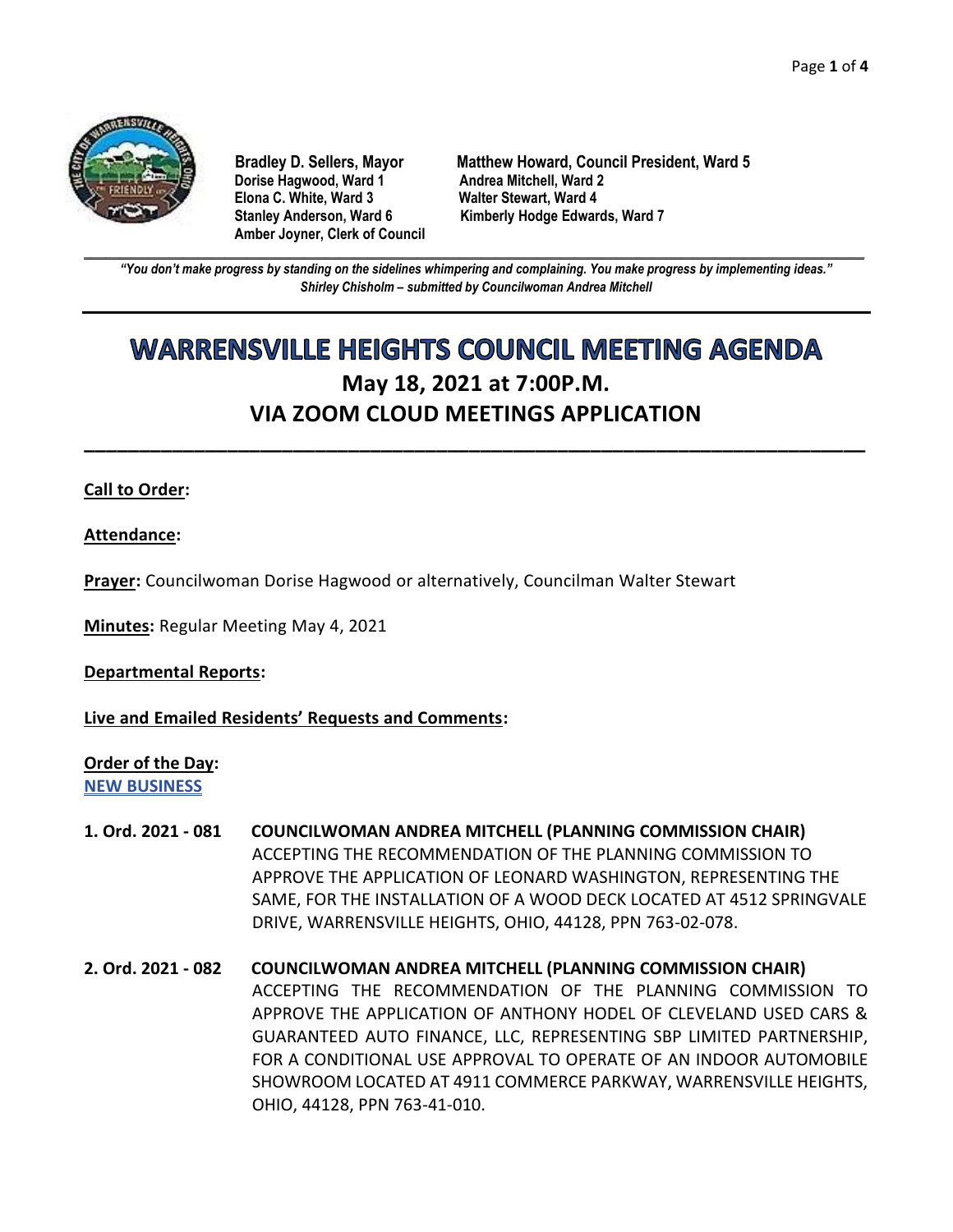

**Dorise Hagwood, Ward 1 Elona C. White, Ward 3 Walter Stewart, Ward 4 Amber Joyner, Clerk of Council**

**Bradley D. Sellers, Mayor Matthew Howard, Council President, Ward 5** Stanley Anderson, Ward 6 Kimberly Hodge Edwards, Ward 7

**\_\_\_\_\_\_\_\_\_\_\_\_\_\_\_\_\_\_\_\_\_\_\_\_\_\_\_\_\_\_\_\_\_\_\_\_\_\_\_\_\_\_\_\_\_\_\_\_\_\_\_\_\_\_\_\_\_\_\_\_\_\_\_\_\_\_\_\_\_\_\_\_\_\_\_\_\_\_\_\_\_\_\_\_\_\_\_\_\_\_\_\_\_\_\_\_\_\_\_\_\_\_\_\_\_\_\_\_\_\_** *"You don't make progress by standing on the sidelines whimpering and complaining. You make progress by implementing ideas." Shirley Chisholm – submitted by Councilwoman Andrea Mitchell*

# **WARRENSVILLE HEIGHTS COUNCIL MEETING AGENDA May 18, 2021 at 7:00P.M. VIA ZOOM CLOUD MEETINGS APPLICATION**

**\_\_\_\_\_\_\_\_\_\_\_\_\_\_\_\_\_\_\_\_\_\_\_\_\_\_\_\_\_\_\_\_\_\_\_\_\_\_\_\_\_\_\_\_\_\_\_\_\_\_\_\_\_\_\_\_\_\_\_\_\_\_\_\_\_\_\_\_\_\_\_**

## **Call to Order:**

**Attendance:**

**Prayer:** Councilwoman Dorise Hagwood or alternatively, Councilman Walter Stewart

**Minutes:** Regular Meeting May 4, 2021

**Departmental Reports:**

**Live and Emailed Residents' Requests and Comments:**

**Order of the Day:**

**NEW BUSINESS**

- **1. Ord. 2021 - 081 COUNCILWOMAN ANDREA MITCHELL (PLANNING COMMISSION CHAIR)** ACCEPTING THE RECOMMENDATION OF THE PLANNING COMMISSION TO APPROVE THE APPLICATION OF LEONARD WASHINGTON, REPRESENTING THE SAME, FOR THE INSTALLATION OF A WOOD DECK LOCATED AT 4512 SPRINGVALE DRIVE, WARRENSVILLE HEIGHTS, OHIO, 44128, PPN 763-02-078.
- **2. Ord. 2021 - 082 COUNCILWOMAN ANDREA MITCHELL (PLANNING COMMISSION CHAIR)** ACCEPTING THE RECOMMENDATION OF THE PLANNING COMMISSION TO APPROVE THE APPLICATION OF ANTHONY HODEL OF CLEVELAND USED CARS & GUARANTEED AUTO FINANCE, LLC, REPRESENTING SBP LIMITED PARTNERSHIP, FOR A CONDITIONAL USE APPROVAL TO OPERATE OF AN INDOOR AUTOMOBILE SHOWROOM LOCATED AT 4911 COMMERCE PARKWAY, WARRENSVILLE HEIGHTS, OHIO, 44128, PPN 763-41-010.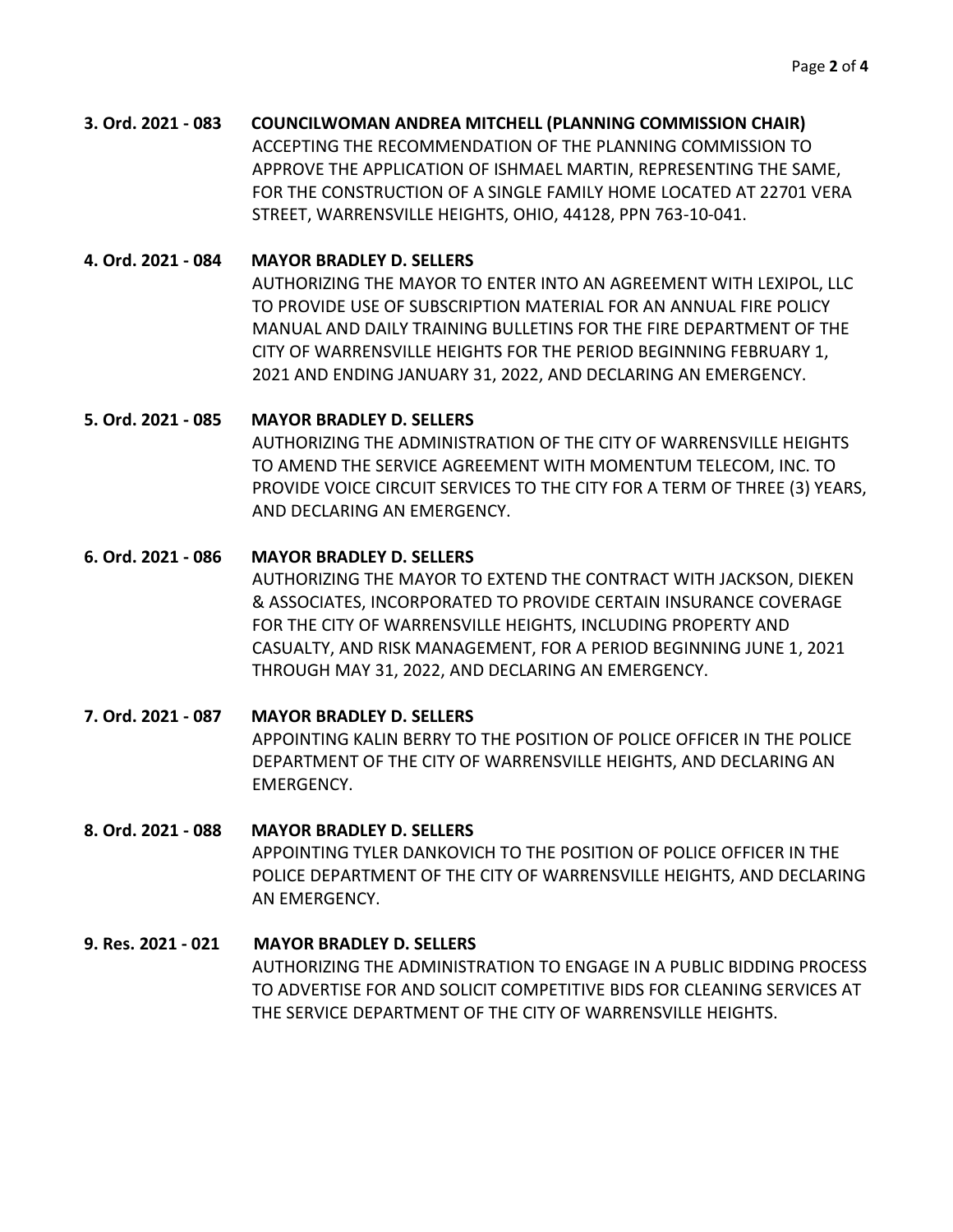# **3. Ord. 2021 - 083 COUNCILWOMAN ANDREA MITCHELL (PLANNING COMMISSION CHAIR)** ACCEPTING THE RECOMMENDATION OF THE PLANNING COMMISSION TO APPROVE THE APPLICATION OF ISHMAEL MARTIN, REPRESENTING THE SAME, FOR THE CONSTRUCTION OF A SINGLE FAMILY HOME LOCATED AT 22701 VERA STREET, WARRENSVILLE HEIGHTS, OHIO, 44128, PPN 763-10-041.

**4. Ord. 2021 - 084 MAYOR BRADLEY D. SELLERS**

AUTHORIZING THE MAYOR TO ENTER INTO AN AGREEMENT WITH LEXIPOL, LLC TO PROVIDE USE OF SUBSCRIPTION MATERIAL FOR AN ANNUAL FIRE POLICY MANUAL AND DAILY TRAINING BULLETINS FOR THE FIRE DEPARTMENT OF THE CITY OF WARRENSVILLE HEIGHTS FOR THE PERIOD BEGINNING FEBRUARY 1, 2021 AND ENDING JANUARY 31, 2022, AND DECLARING AN EMERGENCY.

## **5. Ord. 2021 - 085 MAYOR BRADLEY D. SELLERS**

AUTHORIZING THE ADMINISTRATION OF THE CITY OF WARRENSVILLE HEIGHTS TO AMEND THE SERVICE AGREEMENT WITH MOMENTUM TELECOM, INC. TO PROVIDE VOICE CIRCUIT SERVICES TO THE CITY FOR A TERM OF THREE (3) YEARS, AND DECLARING AN EMERGENCY.

## **6. Ord. 2021 - 086 MAYOR BRADLEY D. SELLERS**

AUTHORIZING THE MAYOR TO EXTEND THE CONTRACT WITH JACKSON, DIEKEN & ASSOCIATES, INCORPORATED TO PROVIDE CERTAIN INSURANCE COVERAGE FOR THE CITY OF WARRENSVILLE HEIGHTS, INCLUDING PROPERTY AND CASUALTY, AND RISK MANAGEMENT, FOR A PERIOD BEGINNING JUNE 1, 2021 THROUGH MAY 31, 2022, AND DECLARING AN EMERGENCY.

# **7. Ord. 2021 - 087 MAYOR BRADLEY D. SELLERS** APPOINTING KALIN BERRY TO THE POSITION OF POLICE OFFICER IN THE POLICE DEPARTMENT OF THE CITY OF WARRENSVILLE HEIGHTS, AND DECLARING AN EMERGENCY.

## **8. Ord. 2021 - 088 MAYOR BRADLEY D. SELLERS**

APPOINTING TYLER DANKOVICH TO THE POSITION OF POLICE OFFICER IN THE POLICE DEPARTMENT OF THE CITY OF WARRENSVILLE HEIGHTS, AND DECLARING AN EMERGENCY.

# **9. Res. 2021 - 021 MAYOR BRADLEY D. SELLERS** AUTHORIZING THE ADMINISTRATION TO ENGAGE IN A PUBLIC BIDDING PROCESS TO ADVERTISE FOR AND SOLICIT COMPETITIVE BIDS FOR CLEANING SERVICES AT THE SERVICE DEPARTMENT OF THE CITY OF WARRENSVILLE HEIGHTS.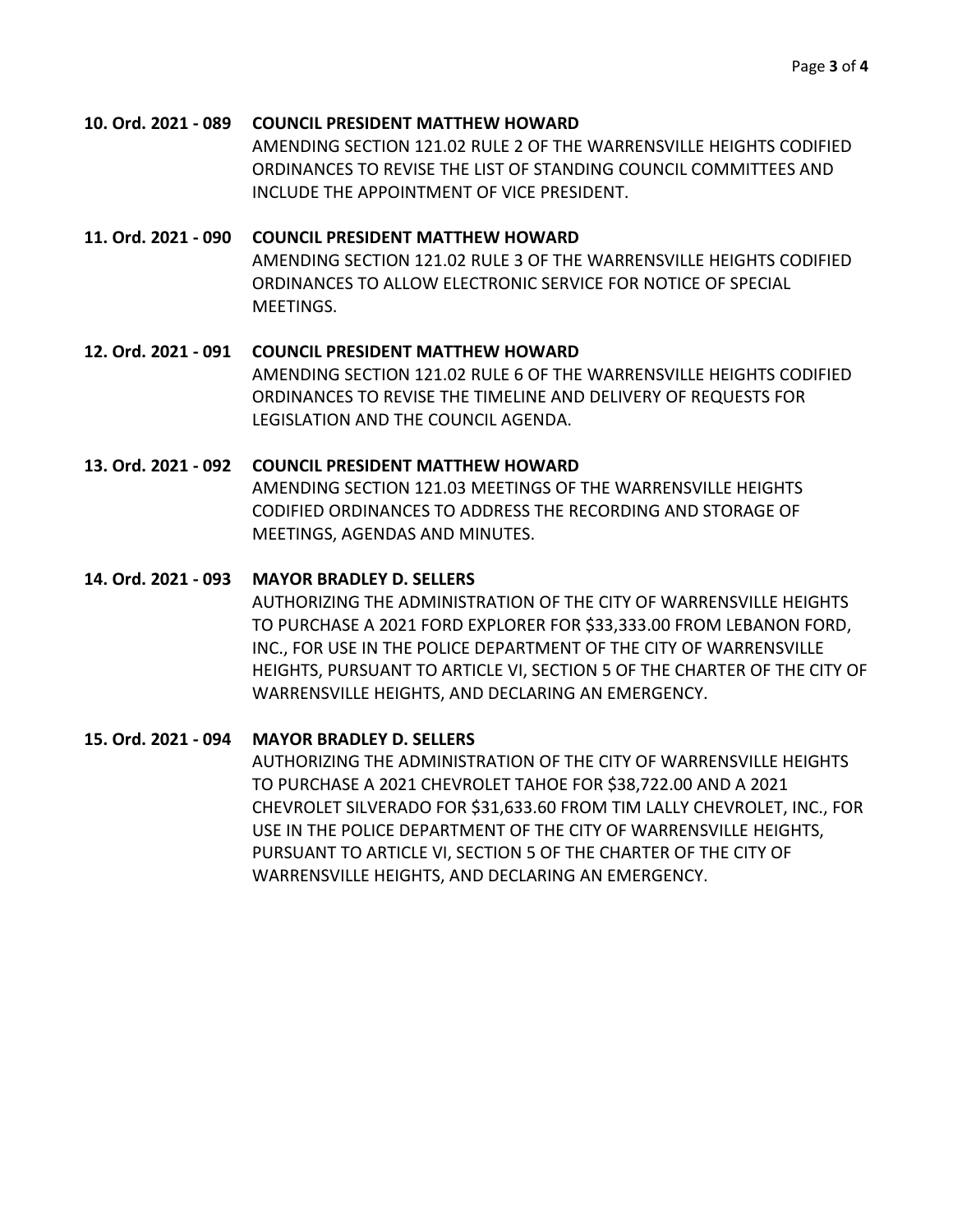**10. Ord. 2021 - 089 COUNCIL PRESIDENT MATTHEW HOWARD** AMENDING SECTION 121.02 RULE 2 OF THE WARRENSVILLE HEIGHTS CODIFIED ORDINANCES TO REVISE THE LIST OF STANDING COUNCIL COMMITTEES AND INCLUDE THE APPOINTMENT OF VICE PRESIDENT.

**11. Ord. 2021 - 090 COUNCIL PRESIDENT MATTHEW HOWARD** AMENDING SECTION 121.02 RULE 3 OF THE WARRENSVILLE HEIGHTS CODIFIED ORDINANCES TO ALLOW ELECTRONIC SERVICE FOR NOTICE OF SPECIAL MEETINGS.

**12. Ord. 2021 - 091 COUNCIL PRESIDENT MATTHEW HOWARD** AMENDING SECTION 121.02 RULE 6 OF THE WARRENSVILLE HEIGHTS CODIFIED ORDINANCES TO REVISE THE TIMELINE AND DELIVERY OF REQUESTS FOR LEGISLATION AND THE COUNCIL AGENDA.

# **13. Ord. 2021 - 092 COUNCIL PRESIDENT MATTHEW HOWARD** AMENDING SECTION 121.03 MEETINGS OF THE WARRENSVILLE HEIGHTS CODIFIED ORDINANCES TO ADDRESS THE RECORDING AND STORAGE OF MEETINGS, AGENDAS AND MINUTES.

## **14. Ord. 2021 - 093 MAYOR BRADLEY D. SELLERS**

AUTHORIZING THE ADMINISTRATION OF THE CITY OF WARRENSVILLE HEIGHTS TO PURCHASE A 2021 FORD EXPLORER FOR \$33,333.00 FROM LEBANON FORD, INC., FOR USE IN THE POLICE DEPARTMENT OF THE CITY OF WARRENSVILLE HEIGHTS, PURSUANT TO ARTICLE VI, SECTION 5 OF THE CHARTER OF THE CITY OF WARRENSVILLE HEIGHTS, AND DECLARING AN EMERGENCY.

## **15. Ord. 2021 - 094 MAYOR BRADLEY D. SELLERS**

AUTHORIZING THE ADMINISTRATION OF THE CITY OF WARRENSVILLE HEIGHTS TO PURCHASE A 2021 CHEVROLET TAHOE FOR \$38,722.00 AND A 2021 CHEVROLET SILVERADO FOR \$31,633.60 FROM TIM LALLY CHEVROLET, INC., FOR USE IN THE POLICE DEPARTMENT OF THE CITY OF WARRENSVILLE HEIGHTS, PURSUANT TO ARTICLE VI, SECTION 5 OF THE CHARTER OF THE CITY OF WARRENSVILLE HEIGHTS, AND DECLARING AN EMERGENCY.